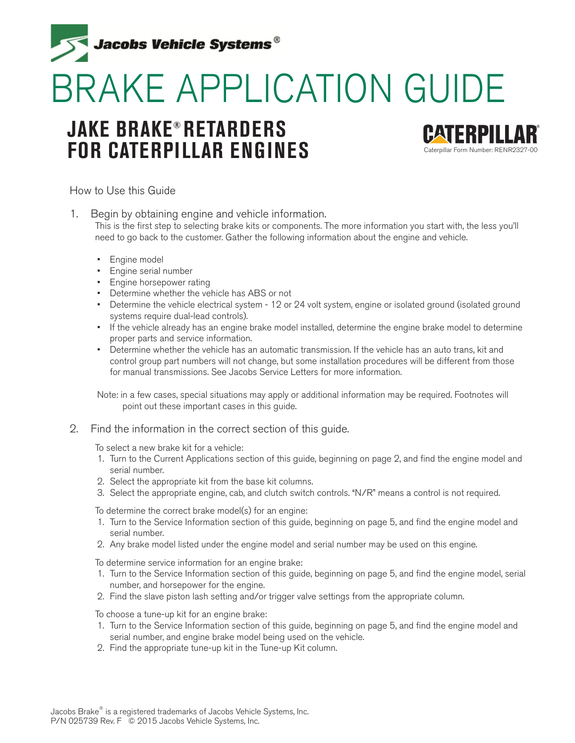

# BRAKE APPLICATION GUIDE

## **JAKE BRAKE® RETARDERS FOR CATERPILLAR ENGINES**



How to Use this Guide

1. Begin by obtaining engine and vehicle information. This is the first step to selecting brake kits or components. The more information you start with, the less you'll need to go back to the customer. Gather the following information about the engine and vehicle.

- Engine model
- Engine serial number
- Engine horsepower rating
- Determine whether the vehicle has ABS or not
- Determine the vehicle electrical system 12 or 24 volt system, engine or isolated ground (isolated ground systems require dual-lead controls).
- If the vehicle already has an engine brake model installed, determine the engine brake model to determine proper parts and service information.
- Determine whether the vehicle has an automatic transmission. If the vehicle has an auto trans, kit and control group part numbers will not change, but some installation procedures will be different from those for manual transmissions. See Jacobs Service Letters for more information.

Note: in a few cases, special situations may apply or additional information may be required. Footnotes will point out these important cases in this guide.

2. Find the information in the correct section of this guide.

To select a new brake kit for a vehicle:

- 1. Turn to the Current Applications section of this guide, beginning on page 2, and find the engine model and serial number.
- 2. Select the appropriate kit from the base kit columns.
- 3. Select the appropriate engine, cab, and clutch switch controls. "N/R" means a control is not required.

To determine the correct brake model(s) for an engine:

- 1. Turn to the Service Information section of this guide, beginning on page 5, and find the engine model and serial number.
- 2. Any brake model listed under the engine model and serial number may be used on this engine.

To determine service information for an engine brake:

- 1. Turn to the Service Information section of this guide, beginning on page 5, and find the engine model, serial number, and horsepower for the engine.
- 2. Find the slave piston lash setting and/or trigger valve settings from the appropriate column.

To choose a tune-up kit for an engine brake:

- 1. Turn to the Service Information section of this guide, beginning on page 5, and find the engine model and serial number, and engine brake model being used on the vehicle.
- 2. Find the appropriate tune-up kit in the Tune-up Kit column.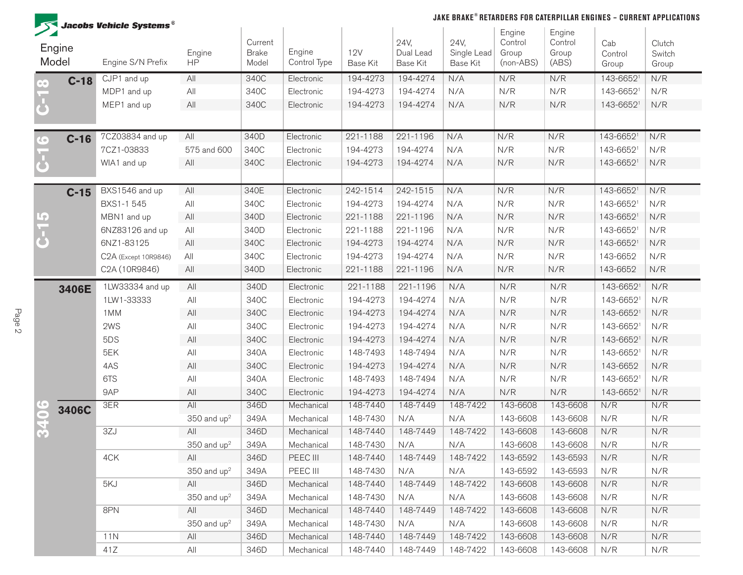

#### **JAKE BRAKE® RETARDERS FOR CATERPILLAR ENGINES – CURRENT APPLICATIONS**

|                        | $\mathcal{F}$ Jacobs Vehicle Systems $^\circ$ |                     |                                  |                        |                               |                               |                                        | Engine                        | Engine                    |                         |                           |
|------------------------|-----------------------------------------------|---------------------|----------------------------------|------------------------|-------------------------------|-------------------------------|----------------------------------------|-------------------------------|---------------------------|-------------------------|---------------------------|
| Engine<br>Model        | Engine S/N Prefix                             | Engine<br><b>HP</b> | Current<br><b>Brake</b><br>Model | Engine<br>Control Type | <b>12V</b><br><b>Base Kit</b> | 24V,<br>Dual Lead<br>Base Kit | 24V,<br>Single Lead<br><b>Base Kit</b> | Control<br>Group<br>(non-ABS) | Control<br>Group<br>(ABS) | Cab<br>Control<br>Group | Clutch<br>Switch<br>Group |
| $C-18$                 | CJP1 and up                                   | All                 | 340C                             | Electronic             | 194-4273                      | 194-4274                      | N/A                                    | N/R                           | N/R                       | 143-66521               | N/R                       |
|                        | MDP1 and up                                   | All                 | 340C                             | Electronic             | 194-4273                      | 194-4274                      | N/A                                    | N/R                           | N/R                       | 143-66521               | N/R                       |
|                        | MEP1 and up                                   | All                 | 340C                             | Electronic             | 194-4273                      | 194-4274                      | N/A                                    | N/R                           | N/R                       | 143-66521               | N/R                       |
| $C-16$<br>$\mathbf{C}$ | 7CZ03834 and up                               | All                 | 340D                             | Electronic             | 221-1188                      | 221-1196                      | N/A                                    | N/R                           | N/R                       | 143-66521               | N/R                       |
|                        | 7CZ1-03833                                    | 575 and 600         | 340C                             | Electronic             | 194-4273                      | 194-4274                      | N/A                                    | N/R                           | N/R                       | 143-66521               | N/R                       |
|                        | WIA1 and up                                   | All                 | 340C                             | Electronic             | 194-4273                      | 194-4274                      | N/A                                    | N/R                           | N/R                       | 143-66521               | N/R                       |
| $C-15$                 | BXS1546 and up                                | All                 | 340E                             | Electronic             | 242-1514                      | 242-1515                      | N/A                                    | N/R                           | N/R                       | 143-66521               | N/R                       |
|                        | BXS1-1 545                                    | All                 | 340C                             | Electronic             | 194-4273                      | 194-4274                      | N/A                                    | N/R                           | N/R                       | 143-66521               | N/R                       |
|                        | MBN1 and up                                   | All                 | 340D                             | Electronic             | 221-1188                      | 221-1196                      | N/A                                    | N/R                           | N/R                       | 143-66521               | N/R                       |
|                        | 6NZ83126 and up                               | All                 | 340D                             | Electronic             | 221-1188                      | 221-1196                      | N/A                                    | N/R                           | N/R                       | 143-66521               | N/R                       |
|                        | 6NZ1-83125                                    | All                 | 340C                             | Electronic             | 194-4273                      | 194-4274                      | N/A                                    | N/R                           | N/R                       | 143-66521               | N/R                       |
|                        | C2A (Except 10R9846)                          | All                 | 340C                             | Electronic             | 194-4273                      | 194-4274                      | N/A                                    | N/R                           | N/R                       | 143-6652                | N/R                       |
|                        | C2A (10R9846)                                 | All                 | 340D                             | Electronic             | 221-1188                      | 221-1196                      | N/A                                    | N/R                           | N/R                       | 143-6652                | N/R                       |
| 3406E                  | 1LW33334 and up                               | All                 | 340D                             | Electronic             | 221-1188                      | 221-1196                      | N/A                                    | N/R                           | N/R                       | 143-66521               | N/R                       |
|                        | 1LW1-33333                                    | All                 | 340C                             | Electronic             | 194-4273                      | 194-4274                      | N/A                                    | N/R                           | N/R                       | 143-66521               | N/R                       |
|                        | 1MM                                           | All                 | 340C                             | Electronic             | 194-4273                      | 194-4274                      | N/A                                    | N/R                           | N/R                       | 143-66521               | N/R                       |
|                        | 2WS                                           | All                 | 340C                             | Electronic             | 194-4273                      | 194-4274                      | N/A                                    | N/R                           | N/R                       | 143-66521               | N/R                       |
|                        | 5DS                                           | All                 | 340C                             | Electronic             | 194-4273                      | 194-4274                      | N/A                                    | N/R                           | N/R                       | 143-66521               | N/R                       |
|                        | 5EK                                           | All                 | 340A                             | Electronic             | 148-7493                      | 148-7494                      | N/A                                    | N/R                           | N/R                       | 143-66521               | N/R                       |
|                        | 4AS                                           | All                 | 340C                             | Electronic             | 194-4273                      | 194-4274                      | N/A                                    | N/R                           | N/R                       | 143-6652                | N/R                       |
|                        | 6TS                                           | All                 | 340A                             | Electronic             | 148-7493                      | 148-7494                      | N/A                                    | N/R                           | N/R                       | 143-66521               | N/R                       |
|                        | 9AP                                           | All                 | 340C                             | Electronic             | 194-4273                      | 194-4274                      | N/A                                    | N/R                           | N/R                       | 143-66521               | N/R                       |
| 3406C                  | 3ER                                           | All                 | 346D                             | Mechanical             | 148-7440                      | 148-7449                      | 148-7422                               | 143-6608                      | 143-6608                  | N/R                     | N/R                       |
|                        |                                               | 350 and $up2$       | 349A                             | Mechanical             | 148-7430                      | N/A                           | N/A                                    | 143-6608                      | 143-6608                  | N/R                     | N/R                       |
|                        | 3ZJ                                           | All                 | 346D                             | Mechanical             | 148-7440                      | 148-7449                      | 148-7422                               | 143-6608                      | 143-6608                  | N/R                     | N/R                       |
|                        |                                               | $350$ and $up2$     | 349A                             | Mechanical             | 148-7430                      | N/A                           | N/A                                    | 143-6608                      | 143-6608                  | N/R                     | N/R                       |
|                        | 4CK                                           | All                 | 346D                             | PEEC III               | 148-7440                      | 148-7449                      | 148-7422                               | 143-6592                      | 143-6593                  | N/R                     | N/R                       |
|                        |                                               | $350$ and $up2$     | 349A                             | PEEC III               | 148-7430                      | N/A                           | N/A                                    | 143-6592                      | 143-6593                  | N/R                     | N/R                       |
|                        | 5KJ                                           | All                 | 346D                             | Mechanical             | 148-7440                      | 148-7449                      | 148-7422                               | 143-6608                      | 143-6608                  | N/R                     | N/R                       |
|                        |                                               | $350$ and $up2$     | 349A                             | Mechanical             | 148-7430                      | N/A                           | N/A                                    | 143-6608                      | 143-6608                  | N/R                     | N/R                       |
|                        | 8PN                                           | All                 | 346D                             | Mechanical             | 148-7440                      | 148-7449                      | 148-7422                               | 143-6608                      | 143-6608                  | N/R                     | N/R                       |
|                        |                                               | $350$ and $up2$     | 349A                             | Mechanical             | 148-7430                      | N/A                           | N/A                                    | 143-6608                      | 143-6608                  | N/R                     | N/R                       |
|                        | 11N                                           | All                 | 346D                             | Mechanical             | 148-7440                      | 148-7449                      | 148-7422                               | 143-6608                      | 143-6608                  | N/R                     | N/R                       |
|                        | 41Z                                           | All                 | 346D                             | Mechanical             | 148-7440                      | 148-7449                      | 148-7422                               | 143-6608                      | 143-6608                  | N/R                     | N/R                       |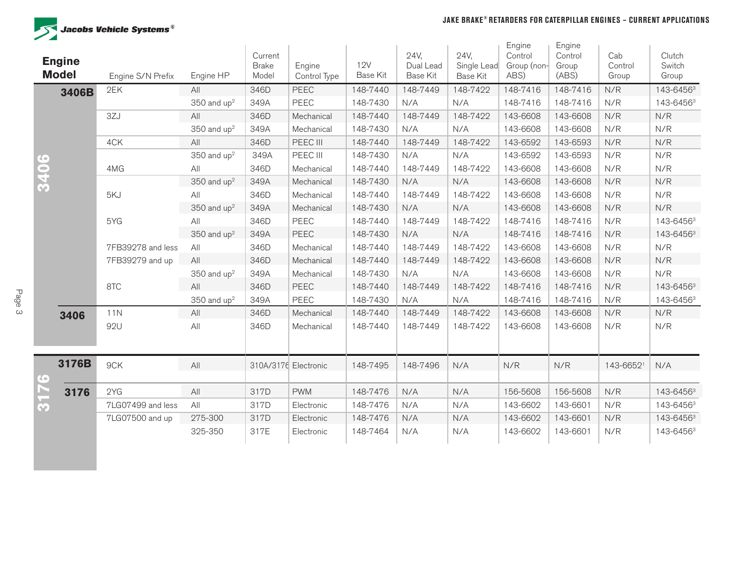

|              | <b>Engine</b><br><b>Model</b> | Engine S/N Prefix | Engine HP                 | Current<br><b>Brake</b><br>Model | Engine<br>Control Type | 12V<br><b>Base Kit</b> | 24V,<br>Dual Lead<br><b>Base Kit</b> | 24V,<br>Single Lead<br><b>Base Kit</b> | Engine<br>Control<br>Group (non-<br>ABS) | Engine<br>Control<br>Group<br>(ABS) | Cab<br>Control<br>Group | Clutch<br>Switch<br>Group |
|--------------|-------------------------------|-------------------|---------------------------|----------------------------------|------------------------|------------------------|--------------------------------------|----------------------------------------|------------------------------------------|-------------------------------------|-------------------------|---------------------------|
|              | 3406B                         | 2EK               | All                       | 346D                             | <b>PEEC</b>            | 148-7440               | 148-7449                             | 148-7422                               | 148-7416                                 | 148-7416                            | N/R                     | 143-64563                 |
|              |                               |                   | $350$ and up <sup>2</sup> | 349A                             | PEEC                   | 148-7430               | N/A                                  | N/A                                    | 148-7416                                 | 148-7416                            | N/R                     | 143-64563                 |
|              |                               | 3ZJ               | All                       | 346D                             | Mechanical             | 148-7440               | 148-7449                             | 148-7422                               | 143-6608                                 | 143-6608                            | N/R                     | N/R                       |
|              |                               |                   | 350 and $up2$             | 349A                             | Mechanical             | 148-7430               | N/A                                  | N/A                                    | 143-6608                                 | 143-6608                            | N/R                     | N/R                       |
|              |                               | 4CK               | All                       | 346D                             | PEEC III               | 148-7440               | 148-7449                             | 148-7422                               | 143-6592                                 | 143-6593                            | N/R                     | N/R                       |
| $\mathbf{G}$ |                               |                   | $350$ and $up2$           | 349A                             | PEEC III               | 148-7430               | N/A                                  | N/A                                    | 143-6592                                 | 143-6593                            | N/R                     | N/R                       |
| <u>o</u>     |                               | 4MG               | All                       | 346D                             | Mechanical             | 148-7440               | 148-7449                             | 148-7422                               | 143-6608                                 | 143-6608                            | N/R                     | N/R                       |
| 34           |                               |                   | 350 and $up2$             | 349A                             | Mechanical             | 148-7430               | N/A                                  | N/A                                    | 143-6608                                 | 143-6608                            | N/R                     | N/R                       |
|              |                               | 5KJ               | All                       | 346D                             | Mechanical             | 148-7440               | 148-7449                             | 148-7422                               | 143-6608                                 | 143-6608                            | N/R                     | N/R                       |
|              |                               |                   | 350 and $up2$             | 349A                             | Mechanical             | 148-7430               | N/A                                  | N/A                                    | 143-6608                                 | 143-6608                            | N/R                     | N/R                       |
|              |                               | 5YG               | All                       | 346D                             | PEEC                   | 148-7440               | 148-7449                             | 148-7422                               | 148-7416                                 | 148-7416                            | N/R                     | 143-64563                 |
|              |                               |                   | 350 and $up2$             | 349A                             | <b>PEEC</b>            | 148-7430               | N/A                                  | N/A                                    | 148-7416                                 | 148-7416                            | N/R                     | 143-64563                 |
|              |                               | 7FB39278 and less | All                       | 346D                             | Mechanical             | 148-7440               | 148-7449                             | 148-7422                               | 143-6608                                 | 143-6608                            | N/R                     | N/R                       |
|              |                               | 7FB39279 and up   | All                       | 346D                             | Mechanical             | 148-7440               | 148-7449                             | 148-7422                               | 143-6608                                 | 143-6608                            | N/R                     | N/R                       |
|              |                               |                   | $350$ and up <sup>2</sup> | 349A                             | Mechanical             | 148-7430               | N/A                                  | N/A                                    | 143-6608                                 | 143-6608                            | N/R                     | N/R                       |
|              |                               | 8TC               | All                       | 346D                             | PEEC                   | 148-7440               | 148-7449                             | 148-7422                               | 148-7416                                 | 148-7416                            | N/R                     | 143-64563                 |
|              |                               |                   | 350 and $up2$             | 349A                             | PEEC                   | 148-7430               | N/A                                  | N/A                                    | 148-7416                                 | 148-7416                            | N/R                     | 143-64563                 |
|              | 3406                          | 11N               | All                       | 346D                             | Mechanical             | 148-7440               | 148-7449                             | 148-7422                               | 143-6608                                 | 143-6608                            | N/R                     | N/R                       |
|              |                               | 92U               | All                       | 346D                             | Mechanical             | 148-7440               | 148-7449                             | 148-7422                               | 143-6608                                 | 143-6608                            | N/R                     | N/R                       |
| $\mathbf{G}$ | 3176B                         | 9CK               | All                       | 310A/3176 Electronic             |                        | 148-7495               | 148-7496                             | N/A                                    | N/R                                      | N/R                                 | 143-66521               | N/A                       |
| D.           | 3176                          | 2YG               | All                       | 317D                             | <b>PWM</b>             | 148-7476               | N/A                                  | N/A                                    | 156-5608                                 | 156-5608                            | N/R                     | 143-64563                 |
| M            |                               | 7LG07499 and less | All                       | 317D                             | Electronic             | 148-7476               | N/A                                  | N/A                                    | 143-6602                                 | 143-6601                            | N/R                     | 143-64563                 |
|              |                               | 7LG07500 and up   | 275-300                   | 317D                             | Electronic             | 148-7476               | N/A                                  | N/A                                    | 143-6602                                 | 143-6601                            | N/R                     | 143-64563                 |
|              |                               |                   | 325-350                   | 317E                             | Electronic             | 148-7464               | N/A                                  | N/A                                    | 143-6602                                 | 143-6601                            | N/R                     | 143-64563                 |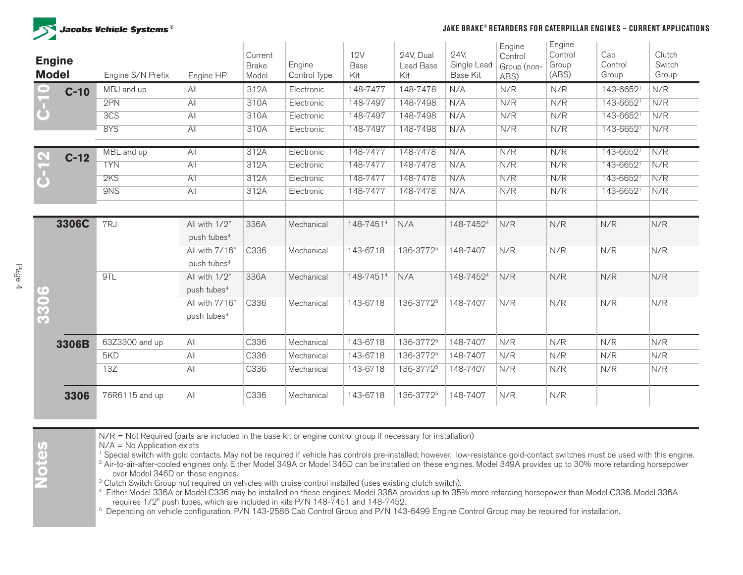

#### **JAKE BRAKE® RETARDERS FOR CATERPILLAR ENGINES – CURRENT APPLICATIONS**

| <b>Engine</b><br><b>Model</b> |        | Engine S/N Prefix | Engine HP               | Current<br><b>Brake</b><br>Model | Engine<br>Control Type | <b>12V</b><br>Base<br>Kit | 24V, Dual<br>Lead Base<br>Kit | 24V,<br>Single Lead<br>Base Kit | Engine<br>Control<br>Group (non-<br>ABS) | Engine<br>Control<br>Group<br>(ABS) | Cab<br>Control<br>Group | Clutch<br>Switch<br>Group |
|-------------------------------|--------|-------------------|-------------------------|----------------------------------|------------------------|---------------------------|-------------------------------|---------------------------------|------------------------------------------|-------------------------------------|-------------------------|---------------------------|
| $\bullet$                     | $C-10$ | MBJ and up        | All                     | 312A                             | Electronic             | 148-7477                  | 148-7478                      | N/A                             | N/R                                      | N/R                                 | 143-66521               | N/R                       |
| $\bf \bar{b}$                 |        | 2PN               | AII                     | 310A                             | Electronic             | 148-7497                  | 148-7498                      | N/A                             | N/R                                      | N/R                                 | 143-66521               | N/R                       |
|                               |        | 3C <sub>S</sub>   | All                     | 310A                             | Electronic             | 148-7497                  | 148-7498                      | N/A                             | N/R                                      | N/R                                 | 143-66521               | N/R                       |
|                               |        | 8YS               | AII                     | 310A                             | Electronic             | 148-7497                  | 148-7498                      | N/A                             | N/R                                      | N/R                                 | 143-66521               | N/R                       |
| $\triangleright$              | $C-12$ | MBL and up        | All                     | 312A                             | Electronic             | 148-7477                  | 148-7478                      | N/A                             | N/R                                      | N/R                                 | 143-66521               | N/R                       |
|                               |        | 1YN               | All                     | 312A                             | Electronic             | 148-7477                  | 148-7478                      | N/A                             | N/R                                      | N/R                                 | 143-66521               | N/R                       |
| $\overline{\textbf{b}}$       |        | 2KS               | All                     | 312A                             | Electronic             | 148-7477                  | 148-7478                      | N/A                             | N/R                                      | N/R                                 | 143-66521               | N/R                       |
|                               |        | 9NS               | All                     | 312A                             | Electronic             | 148-7477                  | 148-7478                      | N/A                             | N/R                                      | N/R                                 | 143-66521               | N/R                       |
|                               |        |                   |                         |                                  |                        |                           |                               |                                 |                                          |                                     |                         |                           |
|                               | 3306C  | 7RJ               | All with 1/2"           | 336A                             | Mechanical             | 148-74514                 | N/A                           | 148-74524                       | N/R                                      | N/R                                 | N/R                     | N/R                       |
|                               |        |                   | push tubes <sup>4</sup> |                                  |                        |                           |                               |                                 |                                          |                                     |                         |                           |
|                               |        |                   | All with 7/16"          | C336                             | Mechanical             | 143-6718                  | 136-37725                     | 148-7407                        | N/R                                      | N/R                                 | N/R                     | N/R                       |
|                               |        |                   | push tubes <sup>4</sup> |                                  |                        |                           |                               |                                 |                                          |                                     |                         |                           |
|                               |        | 9TL               | All with 1/2"           | 336A                             | Mechanical             | 148-74514                 | N/A                           | 148-74524                       | N/R                                      | N/R                                 | N/R                     | N/R                       |
|                               |        |                   | push tubes <sup>4</sup> |                                  |                        |                           |                               |                                 |                                          |                                     |                         |                           |
|                               |        |                   | All with 7/16"          | C336                             | Mechanical             | 143-6718                  | 136-37725                     | 148-7407                        | N/R                                      | N/R                                 | N/R                     | N/R                       |
| 3306                          |        |                   | push tubes <sup>4</sup> |                                  |                        |                           |                               |                                 |                                          |                                     |                         |                           |
|                               | 3306B  | 63Z3300 and up    | All                     | C336                             | Mechanical             | 143-6718                  | 136-37725                     | 148-7407                        | N/R                                      | N/R                                 | N/R                     | N/R                       |
|                               |        | 5KD               | All                     | C336                             | Mechanical             | 143-6718                  | 136-3772 <sup>5</sup>         | 148-7407                        | N/R                                      | N/R                                 | N/R                     | N/R                       |
|                               |        | 13Z               | All                     | C336                             | Mechanical             | 143-6718                  | 136-3772 <sup>5</sup>         | 148-7407                        | N/R                                      | N/R                                 | N/R                     | N/R                       |
|                               | 3306   | 76R6115 and up    | All                     | C336                             | Mechanical             | 143-6718                  | 136-37725                     | 148-7407                        | N/R                                      | N/R                                 |                         |                           |

N/R = Not Required (parts are included in the base kit or engine control group if necessary for installation)

N/A = No Application exists

<sup>1</sup> Special switch with gold contacts. May not be required if vehicle has controls pre-installed; however, low-resistance gold-contact switches must be used with this engine.

<sup>2</sup> Air-to-air-after-cooled engines only. Either Model 349A or Model 346D can be installed on these engines. Model 349A provides up to 30% more retarding horsepower over Model 346D on these engines.

<sup>3</sup> Clutch Switch Group not required on vehicles with cruise control installed (uses existing clutch switch).

<sup>4</sup> Either Model 336A or Model C336 may be installed on these engines. Model 336A provides up to 35% more retarding horsepower than Model C336. Model 336A requires 1/2" push tubes, which are included in kits P/N 148-7451 a

<sup>5</sup> Depending on vehicle configuration, P/N 143-2586 Cab Control Group and P/N 143-6499 Engine Control Group may be required for installation.

**Notes**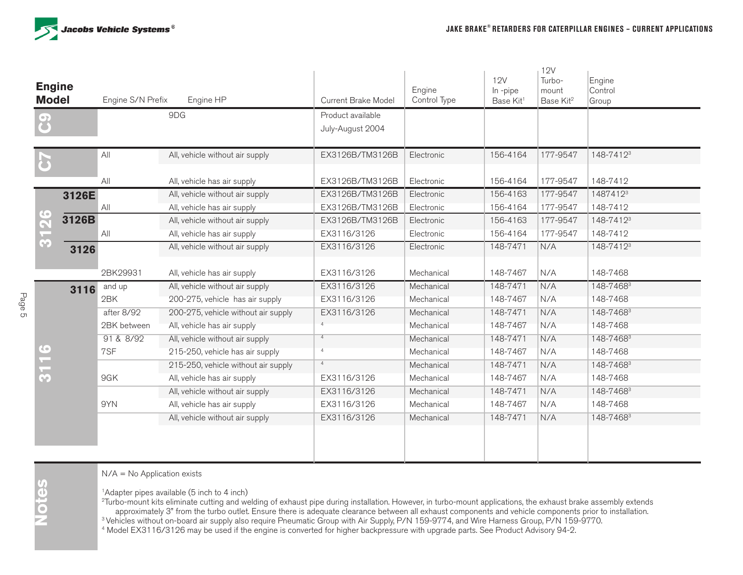

| <b>Engine</b><br><b>Model</b> | Engine S/N Prefix | Engine HP                           | Current Brake Model                   | Engine<br>Control Type | <b>12V</b><br>In-pipe<br>Base Kit <sup>1</sup> | 12V<br>Turbo-<br>mount<br>Base Kit <sup>2</sup> | Engine<br>Control<br>Group |
|-------------------------------|-------------------|-------------------------------------|---------------------------------------|------------------------|------------------------------------------------|-------------------------------------------------|----------------------------|
| ပြ                            |                   | 9DG                                 | Product available<br>July-August 2004 |                        |                                                |                                                 |                            |
|                               | All               | All, vehicle without air supply     | EX3126B/TM3126B                       | Electronic             | 156-4164                                       | 177-9547                                        | 148-7412 <sup>3</sup>      |
|                               | All               | All, vehicle has air supply         | EX3126B/TM3126B                       | Electronic             | 156-4164                                       | 177-9547                                        | 148-7412                   |
| 3126E                         |                   | All, vehicle without air supply     | EX3126B/TM3126B                       | Electronic             | 156-4163                                       | 177-9547                                        | 14874123                   |
|                               | All               | All, vehicle has air supply         | EX3126B/TM3126B                       | Electronic             | 156-4164                                       | 177-9547                                        | 148-7412                   |
| 3126<br>3126B                 |                   | All, vehicle without air supply     | EX3126B/TM3126B                       | Electronic             | 156-4163                                       | 177-9547                                        | 148-7412 <sup>3</sup>      |
|                               | All               | All, vehicle has air supply         | EX3116/3126                           | Electronic             | 156-4164                                       | 177-9547                                        | 148-7412                   |
| 3126                          |                   | All, vehicle without air supply     | EX3116/3126                           | Electronic             | 148-7471                                       | N/A                                             | 148-7412 <sup>3</sup>      |
|                               | 2BK29931          | All, vehicle has air supply         | EX3116/3126                           | Mechanical             | 148-7467                                       | N/A                                             | 148-7468                   |
| 3116                          | and up            | All, vehicle without air supply     | EX3116/3126                           | Mechanical             | 148-7471                                       | N/A                                             | 148-74683                  |
|                               | 2BK               | 200-275, vehicle has air supply     | EX3116/3126                           | Mechanical             | 148-7467                                       | N/A                                             | 148-7468                   |
|                               | after 8/92        | 200-275, vehicle without air supply | EX3116/3126                           | Mechanical             | 148-7471                                       | N/A                                             | 148-74683                  |
|                               | 2BK between       | All, vehicle has air supply         | $\Lambda$                             | Mechanical             | 148-7467                                       | N/A                                             | 148-7468                   |
|                               | 91 & 8/92         | All, vehicle without air supply     | 4                                     | Mechanical             | 148-7471                                       | N/A                                             | 148-74683                  |
| $\frac{6}{1}$                 | 7SF               | 215-250, vehicle has air supply     | $\overline{4}$                        | Mechanical             | 148-7467                                       | N/A                                             | 148-7468                   |
|                               |                   | 215-250, vehicle without air supply | $\overline{4}$                        | Mechanical             | 148-7471                                       | N/A                                             | 148-74683                  |
| $\overline{\mathbf{3}}$       | 9GK               | All, vehicle has air supply         | EX3116/3126                           | Mechanical             | 148-7467                                       | N/A                                             | 148-7468                   |
|                               |                   | All, vehicle without air supply     | EX3116/3126                           | Mechanical             | 148-7471                                       | N/A                                             | 148-74683                  |
|                               | 9YN               | All, vehicle has air supply         | EX3116/3126                           | Mechanical             | 148-7467                                       | N/A                                             | 148-7468                   |
|                               |                   | All, vehicle without air supply     | EX3116/3126                           | Mechanical             | 148-7471                                       | N/A                                             | 148-74683                  |
|                               |                   |                                     |                                       |                        |                                                |                                                 |                            |

N/A = No Application exists

<sup>1</sup>Adapter pipes available (5 inch to 4 inch)

<sup>2</sup>Turbo-mount kits eliminate cutting and welding of exhaust pipe during installation. However, in turbo-mount applications, the exhaust brake assembly extends approximately 3" from the turbo outlet. Ensure there is adequate clearance between all exhaust components and vehicle components prior to installation. <sup>3</sup> Vehicles without on-board air supply also require Pneumatic Group with Air Supply, P/N 159-9774, and Wire Harness Group, P/N 159-9770.

4 Model EX3116/3126 may be used if the engine is converted for higher backpressure with upgrade parts. See Product Advisory 94-2.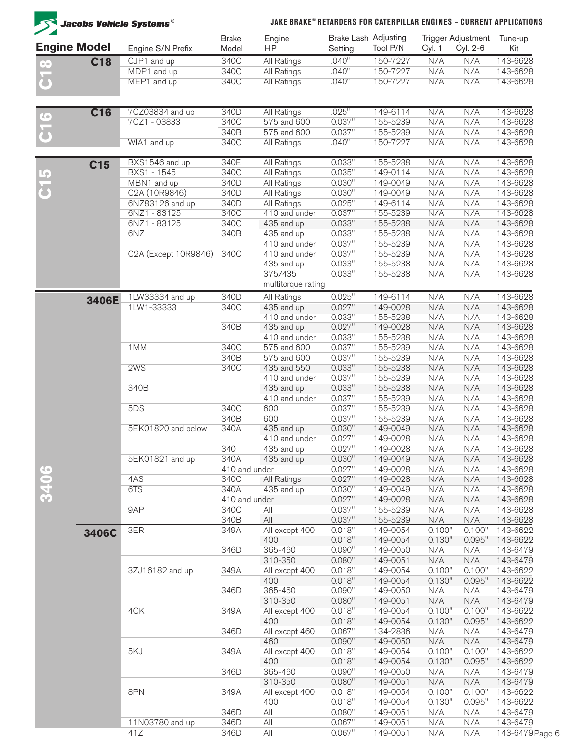| <b>Jacobs Vehicle Systems<sup>®</sup></b> |                 |                          | JAKE BRAKE® RETARDERS FOR CATERPILLAR ENGINES - CURRENT APPLICATIONS |                               |                  |                                  |                  |                                |                      |
|-------------------------------------------|-----------------|--------------------------|----------------------------------------------------------------------|-------------------------------|------------------|----------------------------------|------------------|--------------------------------|----------------------|
| <b>Engine Model</b>                       |                 | Engine S/N Prefix        | <b>Brake</b><br>Model                                                | Engine<br><b>HP</b>           | Setting          | Brake Lash Adjusting<br>Tool P/N | Cyl. 1           | Trigger Adjustment<br>Cyl. 2-6 | Tune-up<br>Kit       |
| $\infty$                                  | <b>C18</b>      | CJP1 and up              | 340C                                                                 | All Ratings                   | .040"            | 150-7227                         | N/A              | N/A                            | 143-6628             |
|                                           |                 | MDP1 and up              | 340C                                                                 | All Ratings                   | .040"            | 150-7227                         | N/A              | N/A                            | 143-6628             |
| <u>ටි</u>                                 |                 | MEP1 and up              | 340C                                                                 | All Ratings                   | .040"            | 150-7227                         | N/A              | N/A                            | 143-6628             |
|                                           | <b>C16</b>      | 7CZ03834 and up          | 340D                                                                 | <b>All Ratings</b>            | .025"            | 149-6114                         | N/A              | N/A                            | 143-6628             |
| $\mathbf{Q}$                              |                 | 7CZ1-03833               | 340C                                                                 | 575 and 600                   | 0.037"           | 155-5239                         | N/A              | N/A                            | 143-6628             |
| $\overline{\textbf{c}}$                   |                 |                          | 340B                                                                 | 575 and 600                   | 0.037"           | 155-5239                         | N/A              | N/A                            | 143-6628             |
|                                           |                 | WIA1 and up              | 340C                                                                 | <b>All Ratings</b>            | .040"            | 150-7227                         | N/A              | N/A                            | 143-6628             |
|                                           | C <sub>15</sub> | BXS1546 and up           | 340E                                                                 | All Ratings                   | 0.033"           | 155-5238                         | N/A              | N/A                            | 143-6628             |
|                                           |                 | BXS1 - 1545              | 340C                                                                 | All Ratings                   | 0.035"           | 149-0114                         | N/A              | N/A                            | 143-6628             |
| $\frac{5}{5}$                             |                 | MBN1 and up              | 340D                                                                 | All Ratings                   | 0.030"           | 149-0049                         | N/A              | N/A                            | 143-6628             |
|                                           |                 | C2A (10R9846)            | 340D                                                                 | All Ratings                   | 0.030"           | 149-0049                         | N/A              | N/A                            | 143-6628             |
|                                           |                 | 6NZ83126 and up          | 340D                                                                 | All Ratings<br>410 and under  | 0.025"           | 149-6114                         | N/A              | N/A                            | 143-6628             |
|                                           |                 | 6NZ1-83125<br>6NZ1-83125 | 340C<br>340C                                                         |                               | 0.037"<br>0.033" | 155-5239<br>155-5238             | N/A<br>N/A       | N/A<br>N/A                     | 143-6628<br>143-6628 |
|                                           |                 | 6NZ                      | 340B                                                                 | 435 and up<br>435 and up      | 0.033"           | 155-5238                         | N/A              | N/A                            | 143-6628             |
|                                           |                 |                          |                                                                      | 410 and under                 | 0.037"           | 155-5239                         | N/A              | N/A                            | 143-6628             |
|                                           |                 | C2A (Except 10R9846)     | 340C                                                                 | 410 and under                 | 0.037"           | 155-5239                         | N/A              | N/A                            | 143-6628             |
|                                           |                 |                          |                                                                      | 435 and up                    | 0.033"           | 155-5238                         | N/A              | N/A                            | 143-6628             |
|                                           |                 |                          |                                                                      | 375/435<br>multitorque rating | 0.033"           | 155-5238                         | N/A              | N/A                            | 143-6628             |
|                                           | 3406E           | 1LW33334 and up          | 340D                                                                 | All Ratings                   | 0.025"           | 149-6114                         | N/A              | N/A                            | 143-6628             |
|                                           |                 | 1LW1-33333               | 340C                                                                 | 435 and up                    | 0.027"           | 149-0028                         | N/A              | N/A                            | 143-6628             |
|                                           |                 |                          |                                                                      | 410 and under                 | 0.033"           | 155-5238                         | N/A              | N/A                            | 143-6628             |
|                                           |                 |                          | 340B                                                                 | 435 and up                    | 0.027"           | 149-0028                         | N/A              | N/A                            | 143-6628             |
|                                           |                 |                          |                                                                      | 410 and under                 | 0.033"           | 155-5238                         | N/A              | N/A                            | 143-6628             |
|                                           |                 | 1MM                      | 340C                                                                 | 575 and 600                   | 0.037"           | 155-5239                         | N/A              | N/A                            | 143-6628             |
|                                           |                 |                          | 340B                                                                 | 575 and 600                   | 0.037"           | 155-5239                         | N/A              | N/A                            | 143-6628             |
|                                           |                 | 2WS                      | 340C                                                                 | 435 and 550                   | 0.033"           | 155-5238                         | N/A              | N/A                            | 143-6628             |
|                                           |                 |                          |                                                                      | 410 and under                 | 0.037"           | 155-5239                         | N/A              | N/A                            | 143-6628             |
|                                           |                 | 340B                     |                                                                      | 435 and up                    | 0.033"           | 155-5238                         | N/A              | N/A                            | 143-6628             |
|                                           |                 |                          |                                                                      | 410 and under                 | 0.037"           | 155-5239                         | N/A              | N/A                            | 143-6628             |
|                                           |                 | 5DS                      | 340C<br>340B                                                         | 600<br>600                    | 0.037"<br>0.037" | 155-5239<br>155-5239             | N/A<br>N/A       | N/A<br>N/A                     | 143-6628<br>143-6628 |
|                                           |                 | 5EK01820 and below       | 340A                                                                 | 435 and up                    | 0.030"           | 149-0049                         | N/A              | N/A                            | 143-6628             |
|                                           |                 |                          |                                                                      | 410 and under                 | 0.027"           | 149-0028                         | N/A              | N/A                            | 143-6628             |
|                                           |                 |                          | 340                                                                  | 435 and up                    | 0.027"           | 149-0028                         | N/A              | N/A                            | 143-6628             |
|                                           |                 | 5EK01821 and up          | 340A                                                                 | 435 and up                    | 0.030"           | 149-0049                         | N/A              | N/A                            | 143-6628             |
|                                           |                 |                          | 410 and under                                                        |                               | 0.027"           | 149-0028                         | N/A              | N/A                            | 143-6628             |
| 3406                                      |                 | 4AS                      | 340C                                                                 | All Ratings                   | 0.027"           | 149-0028                         | N/A              | N/A                            | 143-6628             |
|                                           |                 | 6TS                      | 340A                                                                 | 435 and up                    | 0.030"           | 149-0049                         | N/A              | N/A                            | 143-6628             |
|                                           |                 |                          | 410 and under                                                        |                               | 0.027"           | 149-0028                         | N/A              | N/A                            | 143-6628             |
|                                           |                 | 9AP                      | 340C                                                                 | All                           | 0.037"           | 155-5239                         | N/A              | N/A                            | 143-6628             |
|                                           |                 |                          | 340B                                                                 | All                           | 0.037"           | 155-5239                         | N/A              | N/A                            | 143-6628             |
|                                           | 3406C           | 3ER                      | 349A                                                                 | All except 400                | 0.018"           | 149-0054                         | 0.100"           | 0.100"                         | 143-6622             |
|                                           |                 |                          | 346D                                                                 | 400<br>365-460                | 0.018"<br>0.090" | 149-0054<br>149-0050             | 0.130"           | 0.095"                         | 143-6622             |
|                                           |                 |                          |                                                                      | 310-350                       | 0.080"           | 149-0051                         | N/A<br>N/A       | N/A<br>N/A                     | 143-6479<br>143-6479 |
|                                           |                 | 3ZJ16182 and up          | 349A                                                                 | All except 400                | 0.018"           | 149-0054                         | 0.100"           | 0.100"                         | 143-6622             |
|                                           |                 |                          |                                                                      | 400                           | 0.018"           | 149-0054                         | 0.130"           | 0.095"                         | 143-6622             |
|                                           |                 |                          | 346D                                                                 | 365-460                       | 0.090"           | 149-0050                         | N/A              | N/A                            | 143-6479             |
|                                           |                 |                          |                                                                      | 310-350                       | 0.080"           | 149-0051                         | N/A              | N/A                            | 143-6479             |
|                                           |                 | 4CK                      | 349A                                                                 | All except 400                | 0.018"           | 149-0054                         | 0.100"           | 0.100"                         | 143-6622             |
|                                           |                 |                          |                                                                      | 400                           | 0.018"           | 149-0054                         | 0.130"           | 0.095"                         | 143-6622             |
|                                           |                 |                          | 346D                                                                 | All except 460                | 0.067"           | 134-2836                         | N/A              | N/A                            | 143-6479             |
|                                           |                 |                          |                                                                      | 460                           | 0.090"           | 149-0050                         | N/A              | N/A                            | 143-6479             |
|                                           |                 | 5KJ                      | 349A                                                                 | All except 400                | 0.018"           | 149-0054                         | 0.100"           | 0.100"                         | 143-6622             |
|                                           |                 |                          |                                                                      | 400                           | 0.018"           | 149-0054                         | 0.130"           | 0.095"                         | 143-6622             |
|                                           |                 |                          | 346D                                                                 | 365-460                       | 0.090"           | 149-0050                         | N/A              | N/A                            | 143-6479             |
|                                           |                 | 8PN                      |                                                                      | 310-350                       | 0.080"           | 149-0051                         | N/A              | N/A                            | 143-6479             |
|                                           |                 |                          | 349A                                                                 | All except 400<br>400         | 0.018"<br>0.018" | 149-0054<br>149-0054             | 0.100"<br>0.130" | 0.100"<br>0.095"               | 143-6622<br>143-6622 |
|                                           |                 |                          | 346D                                                                 | All                           | 0.080"           | 149-0051                         | N/A              | N/A                            | 143-6479             |
|                                           |                 | 11N03780 and up          | 346D                                                                 | All                           | 0.067"           | 149-0051                         | N/A              | N/A                            | 143-6479             |
|                                           |                 | 41Z                      | 346D                                                                 | All                           | 0.067"           | 149-0051                         | N/A              | N/A                            | 143-6479 Page        |
|                                           |                 |                          |                                                                      |                               |                  |                                  |                  |                                |                      |

 $6\,$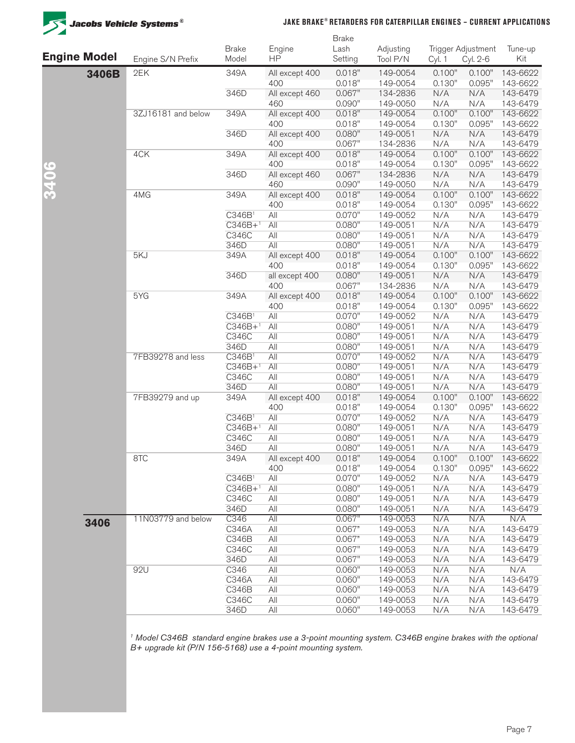

#### **JAKE BRAKE® RETARDERS FOR CATERPILLAR ENGINES – CURRENT APPLICATIONS**

|                     |                    |                                 |                       | <b>Brake</b>     |                      |                  |                    |                      |
|---------------------|--------------------|---------------------------------|-----------------------|------------------|----------------------|------------------|--------------------|----------------------|
|                     |                    | <b>Brake</b>                    | Engine                | Lash             | Adjusting            |                  | Trigger Adjustment | Tune-up              |
| <b>Engine Model</b> | Engine S/N Prefix  | Model                           | <b>HP</b>             | Setting          | Tool P/N             | Cyl. 1           | Cyl. 2-6           | Kit                  |
| 3406B               | 2EK                | 349A                            | All except 400        | 0.018"           | 149-0054             | 0.100"           | 0.100"             | 143-6622             |
|                     |                    |                                 | 400                   | 0.018"           | 149-0054             | 0.130"           | 0.095"             | 143-6622             |
|                     |                    | 346D                            | All except 460        | 0.067"           | 134-2836             | N/A              | N/A                | 143-6479             |
|                     |                    |                                 | 460                   | 0.090"<br>0.018" | 149-0050             | N/A<br>0.100"    | N/A<br>0.100"      | 143-6479             |
|                     | 3ZJ16181 and below | 349A                            | All except 400<br>400 | 0.018"           | 149-0054<br>149-0054 | 0.130"           | 0.095"             | 143-6622<br>143-6622 |
|                     |                    | 346D                            | All except 400        | 0.080"           | 149-0051             | N/A              | N/A                | 143-6479             |
|                     |                    |                                 | 400                   | 0.067"           | 134-2836             | N/A              | N/A                | 143-6479             |
|                     | 4CK                | 349A                            | All except 400        | 0.018"           | 149-0054             | 0.100"           | 0.100"             | 143-6622             |
|                     |                    |                                 | 400                   | 0.018"           | 149-0054             | 0.130"           | 0.095"             | 143-6622             |
| 3406                |                    | 346D                            | All except 460        | 0.067"           | 134-2836             | N/A              | N/A                | 143-6479             |
|                     |                    |                                 | 460                   | 0.090"           | 149-0050             | N/A              | N/A                | 143-6479             |
|                     | 4MG                | 349A                            | All except 400        | 0.018"           | 149-0054             | 0.100"           | 0.100"             | 143-6622             |
|                     |                    |                                 | 400                   | 0.018"           | 149-0054             | 0.130"           | 0.095"             | 143-6622             |
|                     |                    | C346B1                          | All                   | 0.070"           | 149-0052             | N/A              | N/A                | 143-6479             |
|                     |                    | $\overline{C346B+1}$            | All                   | 0.080"           | 149-0051             | N/A              | N/A                | 143-6479             |
|                     |                    | C346C                           | All                   | 0.080"           | 149-0051             | N/A              | N/A                | 143-6479             |
|                     |                    | 346D                            | All                   | 0.080"           | 149-0051             | N/A              | N/A                | 143-6479             |
|                     | 5KJ                | 349A                            | All except 400        | 0.018"           | 149-0054             | 0.100"           | 0.100"             | 143-6622             |
|                     |                    |                                 | 400                   | 0.018"           | 149-0054             | 0.130"           | 0.095"             | 143-6622             |
|                     |                    | 346D                            | all except 400        | 0.080"           | 149-0051             | N/A              | N/A                | 143-6479             |
|                     |                    |                                 | 400                   | 0.067"           | 134-2836             | N/A              | N/A                | 143-6479             |
|                     | 5YG                | 349A                            | All except 400<br>400 | 0.018"<br>0.018" | 149-0054             | 0.100"<br>0.130" | 0.100"<br>0.095"   | 143-6622             |
|                     |                    | C346B <sup>1</sup>              | All                   | 0.070"           | 149-0054<br>149-0052 | N/A              | N/A                | 143-6622<br>143-6479 |
|                     |                    | $\overline{C346B+1}$            | All                   | 0.080"           | 149-0051             | N/A              | N/A                | 143-6479             |
|                     |                    | C346C                           | All                   | 0.080"           | 149-0051             | N/A              | N/A                | 143-6479             |
|                     |                    | 346D                            | All                   | 0.080"           | 149-0051             | N/A              | N/A                | 143-6479             |
|                     | 7FB39278 and less  | $\overline{C346B}$ <sup>1</sup> | All                   | 0.070"           | 149-0052             | N/A              | N/A                | 143-6479             |
|                     |                    | $C346B+1$                       | All                   | 0.080"           | 149-0051             | N/A              | N/A                | 143-6479             |
|                     |                    | C346C                           | All                   | 0.080"           | 149-0051             | N/A              | N/A                | 143-6479             |
|                     |                    | 346D                            | All                   | 0.080"           | 149-0051             | N/A              | N/A                | 143-6479             |
|                     | 7FB39279 and up    | 349A                            | All except 400        | 0.018"           | 149-0054             | 0.100"           | 0.100"             | 143-6622             |
|                     |                    |                                 | 400                   | 0.018"           | 149-0054             | 0.130"           | 0.095"             | 143-6622             |
|                     |                    | C346B <sup>1</sup>              | All                   | 0.070"           | 149-0052             | N/A              | N/A                | 143-6479             |
|                     |                    | $\overline{C346B+1}$            | All                   | 0.080"           | 149-0051             | N/A              | N/A                | 143-6479             |
|                     |                    | C346C                           | All                   | 0.080"           | 149-0051             | N/A              | N/A                | 143-6479             |
|                     |                    | 346D                            | All                   | 0.080"           | 149-0051             | N/A              | N/A                | 143-6479             |
|                     | 8TC                | 349A                            | All except 400        | 0.018"           | 149-0054             | 0.100"           | 0.100"             | 143-6622             |
|                     |                    | C346B1                          | 400<br>All            | 0.018"<br>0.070" | 149-0054<br>149-0052 | 0.130"<br>N/A    | 0.095"<br>N/A      | 143-6622<br>143-6479 |
|                     |                    | $C346B+1$                       | All                   | 0.080"           | 149-0051             | N/A              | N/A                | 143-6479             |
|                     |                    | C346C                           | All                   | 0.080"           | 149-0051             | N/A              | N/A                | 143-6479             |
|                     |                    | 346D                            | All                   | 0.080"           | 149-0051             | N/A              | N/A                | 143-6479             |
|                     | 11N03779 and below | $\overline{C346}$               | All                   | 0.067"           | 149-0053             | N/A              | N/A                | N/A                  |
| 3406                |                    | C346A                           | All                   | 0.067"           | 149-0053             | N/A              | N/A                | 143-6479             |
|                     |                    | C346B                           | All                   | 0.067"           | 149-0053             | N/A              | N/A                | 143-6479             |
|                     |                    | C346C                           | All                   | 0.067"           | 149-0053             | N/A              | N/A                | 143-6479             |
|                     |                    | 346D                            | All                   | 0.067"           | 149-0053             | N/A              | N/A                | 143-6479             |
|                     | 92U                | C346                            | All                   | 0.060"           | 149-0053             | N/A              | N/A                | N/A                  |
|                     |                    | C346A                           | All                   | 0.060"           | 149-0053             | N/A              | N/A                | 143-6479             |
|                     |                    | C346B                           | All                   | 0.060"           | 149-0053             | N/A              | N/A                | 143-6479             |
|                     |                    | C346C                           | All                   | 0.060"           | 149-0053             | N/A              | N/A                | 143-6479             |
|                     |                    | 346D                            | $\mathsf{All}$        | 0.060"           | 149-0053             | N/A              | N/A                | 143-6479             |
|                     |                    |                                 |                       |                  |                      |                  |                    |                      |

*1 Model C346B standard engine brakes use a 3-point mounting system. C346B engine brakes with the optional B+ upgrade kit (P/N 156-5168) use a 4-point mounting system.*